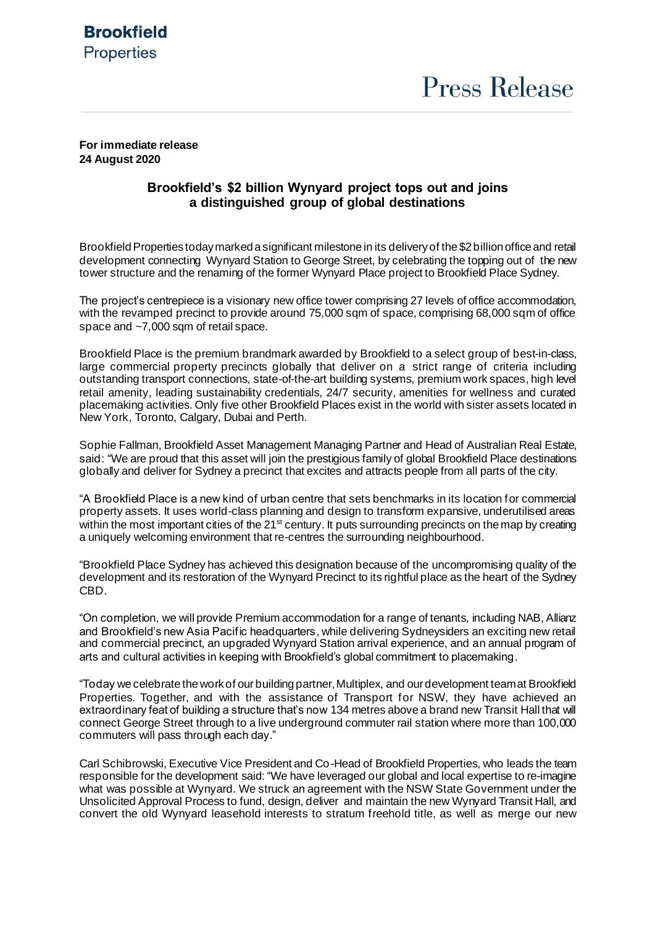# **Brookfield Properties**

#### **For immediate release 24 August 2020**

### **Brookfield's \$2 billion Wynyard project tops out and joins a distinguished group of global destinations**

Brookfield Properties today marked a significant milestone in its deliveryof the \$2 billion office and retail development connecting Wynyard Station to George Street, by celebrating the topping out of the new tower structure and the renaming of the former Wynyard Place project to Brookfield Place Sydney.

The project's centrepiece is a visionary new office tower comprising 27 levels of office accommodation, with the revamped precinct to provide around 75,000 sqm of space, comprising 68,000 sqm of office space and ~7,000 sqm of retail space.

Brookfield Place is the premium brandmark awarded by Brookfield to a select group of best-in-class, large commercial property precincts globally that deliver on a strict range of criteria including outstanding transport connections, state-of-the-art building systems, premium work spaces, high level retail amenity, leading sustainability credentials, 24/7 security, amenities for wellness and curated placemaking activities. Only five other Brookfield Places exist in the world with sister assets located in New York, Toronto, Calgary, Dubai and Perth.

Sophie Fallman, Brookfield Asset Management Managing Partner and Head of Australian Real Estate, said: "We are proud that this asset will join the prestigious family of global Brookfield Place destinations globally and deliver for Sydney a precinct that excites and attracts people from all parts of the city.

"A Brookfield Place is a new kind of urban centre that sets benchmarks in its location for commercial property assets. It uses world-class planning and design to transform expansive, underutilised areas within the most important cities of the 21<sup>st</sup> century. It puts surrounding precincts on the map by creating a uniquely welcoming environment that re-centres the surrounding neighbourhood.

"Brookfield Place Sydney has achieved this designation because of the uncompromising quality of the development and its restoration of the Wynyard Precinct to its rightful place as the heart of the Sydney CBD.

"On completion, we will provide Premium accommodation for a range of tenants, including NAB, Allianz and Brookfield's new Asia Pacific headquarters, while delivering Sydneysiders an exciting new retail and commercial precinct, an upgraded Wynyard Station arrival experience, and an annual program of arts and cultural activities in keeping with Brookfield's global commitment to placemaking.

"Today we celebrate the work of our building partner, Multiplex, and our development team at Brookfield Properties. Together, and with the assistance of Transport for NSW, they have achieved an extraordinary feat of building a structure that's now 134 metres above a brand new Transit Hall that will connect George Street through to a live underground commuter rail station where more than 100,000 commuters will pass through each day."

Carl Schibrowski, Executive Vice President and Co-Head of Brookfield Properties, who leads the team responsible for the development said: "We have leveraged our global and local expertise to re-imagine what was possible at Wynyard. We struck an agreement with the NSW State Government under the Unsolicited Approval Process to fund, design, deliver and maintain the new Wynyard Transit Hall, and convert the old Wynyard leasehold interests to stratum freehold title, as well as merge our new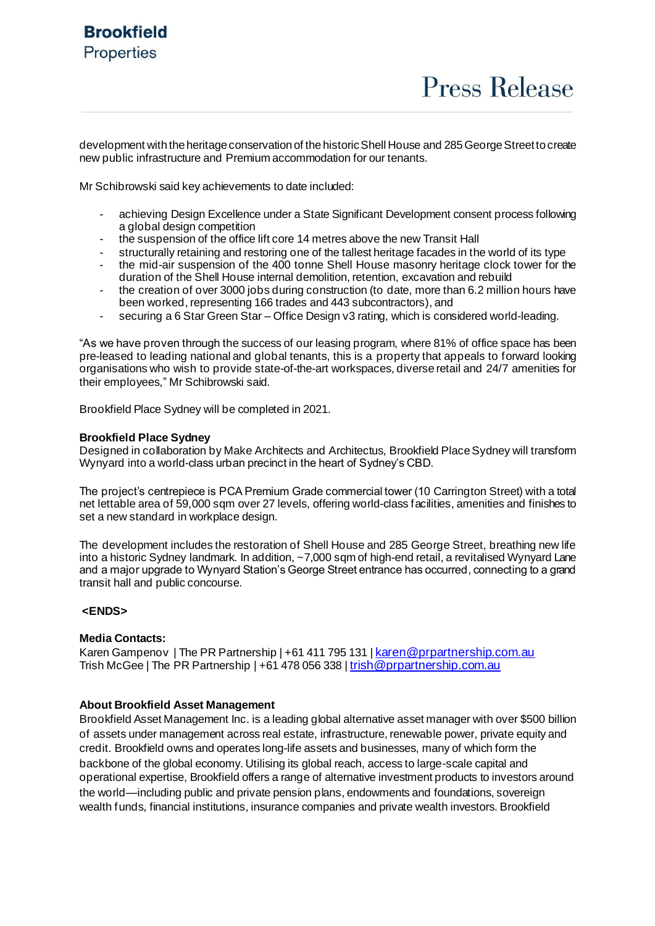**Press Release** 

development with the heritage conservation of the historic Shell House and 285 George Streetto create new public infrastructure and Premium accommodation for our tenants.

Mr Schibrowski said key achievements to date included:

- achieving Design Excellence under a State Significant Development consent process following a global design competition
- the suspension of the office lift core 14 metres above the new Transit Hall
- structurally retaining and restoring one of the tallest heritage facades in the world of its type
- the mid-air suspension of the 400 tonne Shell House masonry heritage clock tower for the duration of the Shell House internal demolition, retention, excavation and rebuild
- the creation of over 3000 jobs during construction (to date, more than 6.2 million hours have been worked, representing 166 trades and 443 subcontractors), and
- securing a 6 Star Green Star Office Design v3 rating, which is considered world-leading.

"As we have proven through the success of our leasing program, where 81% of office space has been pre-leased to leading national and global tenants, this is a property that appeals to forward looking organisations who wish to provide state-of-the-art workspaces, diverse retail and 24/7 amenities for their employees," Mr Schibrowski said.

Brookfield Place Sydney will be completed in 2021.

#### **Brookfield Place Sydney**

Designed in collaboration by Make Architects and Architectus, Brookfield Place Sydney will transform Wynyard into a world-class urban precinct in the heart of Sydney's CBD.

The project's centrepiece is PCA Premium Grade commercial tower (10 Carrington Street) with a total net lettable area of 59,000 sqm over 27 levels, offering world-class facilities, amenities and finishes to set a new standard in workplace design.

The development includes the restoration of Shell House and 285 George Street, breathing new life into a historic Sydney landmark. In addition, ~7,000 sqm of high-end retail, a revitalised Wynyard Lane and a major upgrade to Wynyard Station's George Street entrance has occurred, connecting to a grand transit hall and public concourse.

#### **<ENDS>**

#### **Media Contacts:**

Karen Gampenov | The PR Partnership | +61 411 795 131 | karen @prpartnership.com.au Trish McGee | The PR Partnership | +61 478 056 338 | [trish@prpartnership.com.au](mailto:trish@prpartnership.com.au)

#### **About Brookfield Asset Management**

Brookfield Asset Management Inc. is a leading global alternative asset manager with over \$500 billion of assets under management across real estate, infrastructure, renewable power, private equity and credit. Brookfield owns and operates long-life assets and businesses, many of which form the backbone of the global economy. Utilising its global reach, access to large-scale capital and operational expertise, Brookfield offers a range of alternative investment products to investors around the world—including public and private pension plans, endowments and foundations, sovereign wealth funds, financial institutions, insurance companies and private wealth investors. Brookfield